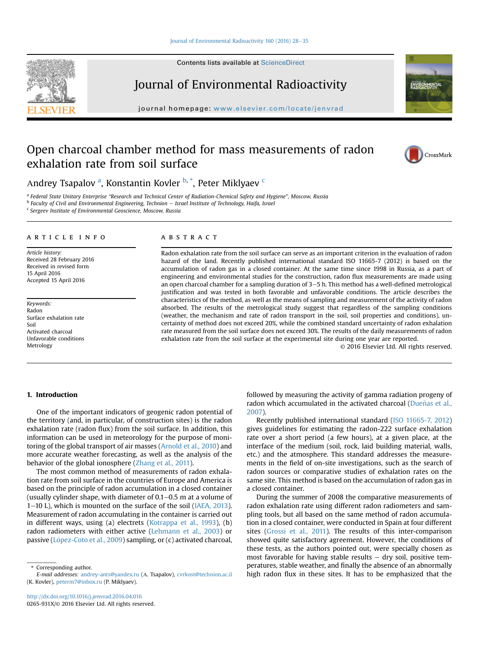#### [Journal of Environmental Radioactivity 160 \(2016\) 28](http://dx.doi.org/10.1016/j.jenvrad.2016.04.016)-[35](http://dx.doi.org/10.1016/j.jenvrad.2016.04.016)

Contents lists available at [ScienceDirect](www.sciencedirect.com/science/journal/0265931X)





## Journal of Environmental Radioactivity

journal homepage: [www.elsevier.com/locate/jenvrad](http://www.elsevier.com/locate/jenvrad)

### Open charcoal chamber method for mass measurements of radon exhalation rate from soil surface



Andrey Tsapalov <sup>a</sup>, Konstantin Kovler <sup>b, \*</sup>, Peter Miklyaev <sup>c</sup>

a Federal State Unitary Enterprise "Research and Technical Center of Radiation-Chemical Safety and Hygiene", Moscow, Russia

 $<sup>b</sup>$  Faculty of Civil and Environmental Engineering, Technion  $-$  Israel Institute of Technology, Haifa, Israel</sup>

<sup>c</sup> Sergeev Institute of Environmental Geoscience, Moscow, Russia

#### article info

Article history: Received 28 February 2016 Received in revised form 15 April 2016 Accepted 15 April 2016

Keywords: Radon Surface exhalation rate Soil Activated charcoal Unfavorable conditions Metrology

#### **ABSTRACT**

Radon exhalation rate from the soil surface can serve as an important criterion in the evaluation of radon hazard of the land. Recently published international standard ISO 11665-7 (2012) is based on the accumulation of radon gas in a closed container. At the same time since 1998 in Russia, as a part of engineering and environmental studies for the construction, radon flux measurements are made using an open charcoal chamber for a sampling duration of  $3-5$  h. This method has a well-defined metrological justification and was tested in both favorable and unfavorable conditions. The article describes the characteristics of the method, as well as the means of sampling and measurement of the activity of radon absorbed. The results of the metrological study suggest that regardless of the sampling conditions (weather, the mechanism and rate of radon transport in the soil, soil properties and conditions), uncertainty of method does not exceed 20%, while the combined standard uncertainty of radon exhalation rate measured from the soil surface does not exceed 30%. The results of the daily measurements of radon exhalation rate from the soil surface at the experimental site during one year are reported.

© 2016 Elsevier Ltd. All rights reserved.

#### 1. Introduction

One of the important indicators of geogenic radon potential of the territory (and, in particular, of construction sites) is the radon exhalation rate (radon flux) from the soil surface. In addition, this information can be used in meteorology for the purpose of monitoring of the global transport of air masses ([Arnold et al., 2010\)](#page--1-0) and more accurate weather forecasting, as well as the analysis of the behavior of the global ionosphere [\(Zhang et al., 2011](#page--1-0)).

The most common method of measurements of radon exhalation rate from soil surface in the countries of Europe and America is based on the principle of radon accumulation in a closed container (usually cylinder shape, with diameter of  $0.1-0.5$  m at a volume of 1-10 L), which is mounted on the surface of the soil [\(IAEA, 2013\)](#page--1-0). Measurement of radon accumulating in the container is carried out in different ways, using (a) electrets ([Kotrappa et al., 1993](#page--1-0)), (b) radon radiometers with either active [\(Lehmann et al., 2003\)](#page--1-0) or passive [\(L](#page--1-0)ó[pez-Coto et al., 2009](#page--1-0)) sampling, or (c) activated charcoal, followed by measuring the activity of gamma radiation progeny of radon which accumulated in the activated charcoal (Dueñas et al., [2007\)](#page--1-0).

Recently published international standard ([ISO 11665-7, 2012\)](#page--1-0) gives guidelines for estimating the radon-222 surface exhalation rate over a short period (a few hours), at a given place, at the interface of the medium (soil, rock, laid building material, walls, etc.) and the atmosphere. This standard addresses the measurements in the field of on-site investigations, such as the search of radon sources or comparative studies of exhalation rates on the same site. This method is based on the accumulation of radon gas in a closed container.

During the summer of 2008 the comparative measurements of radon exhalation rate using different radon radiometers and sampling tools, but all based on the same method of radon accumulation in a closed container, were conducted in Spain at four different sites [\(Grossi et al., 2011](#page--1-0)). The results of this inter-comparison showed quite satisfactory agreement. However, the conditions of these tests, as the authors pointed out, were specially chosen as most favorable for having stable results  $-$  dry soil, positive temperatures, stable weather, and finally the absence of an abnormally high radon flux in these sites. It has to be emphasized that the

<sup>\*</sup> Corresponding author.

E-mail addresses: [andrey-ants@yandex.ru](mailto:andrey-ants@yandex.ru) (А. Tsapalov), [cvrkost@technion.ac.il](mailto:cvrkost@technion.ac.il) (K. Kovler), [peterm7@inbox.ru](mailto:peterm7@inbox.ru) (P. Miklyaev).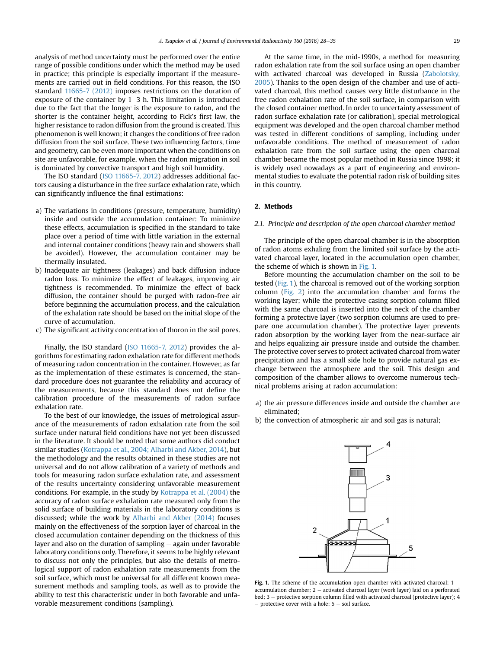analysis of method uncertainty must be performed over the entire range of possible conditions under which the method may be used in practice; this principle is especially important if the measurements are carried out in field conditions. For this reason, the ISO standard [11665-7 \(2012\)](#page--1-0) imposes restrictions on the duration of exposure of the container by  $1-3$  h. This limitation is introduced due to the fact that the longer is the exposure to radon, and the shorter is the container height, according to Fick's first law, the higher resistance to radon diffusion from the ground is created. This phenomenon is well known; it changes the conditions of free radon diffusion from the soil surface. These two influencing factors, time and geometry, can be even more important when the conditions on site are unfavorable, for example, when the radon migration in soil is dominated by convective transport and high soil humidity.

The ISO standard [\(ISO 11665-7, 2012](#page--1-0)) addresses additional factors causing a disturbance in the free surface exhalation rate, which can significantly influence the final estimations:

- a) The variations in conditions (pressure, temperature, humidity) inside and outside the accumulation container: To minimize these effects, accumulation is specified in the standard to take place over a period of time with little variation in the external and internal container conditions (heavy rain and showers shall be avoided). However, the accumulation container may be thermally insulated.
- b) Inadequate air tightness (leakages) and back diffusion induce radon loss. To minimize the effect of leakages, improving air tightness is recommended. To minimize the effect of back diffusion, the container should be purged with radon-free air before beginning the accumulation process, and the calculation of the exhalation rate should be based on the initial slope of the curve of accumulation.
- c) The significant activity concentration of thoron in the soil pores.

Finally, the ISO standard ([ISO 11665-7, 2012](#page--1-0)) provides the algorithms for estimating radon exhalation rate for different methods of measuring radon concentration in the container. However, as far as the implementation of these estimates is concerned, the standard procedure does not guarantee the reliability and accuracy of the measurements, because this standard does not define the calibration procedure of the measurements of radon surface exhalation rate.

To the best of our knowledge, the issues of metrological assurance of the measurements of radon exhalation rate from the soil surface under natural field conditions have not yet been discussed in the literature. It should be noted that some authors did conduct similar studies [\(Kotrappa et al., 2004; Alharbi and Akber, 2014](#page--1-0)), but the methodology and the results obtained in these studies are not universal and do not allow calibration of a variety of methods and tools for measuring radon surface exhalation rate, and assessment of the results uncertainty considering unfavorable measurement conditions. For example, in the study by [Kotrappa et al. \(2004\)](#page--1-0) the accuracy of radon surface exhalation rate measured only from the solid surface of building materials in the laboratory conditions is discussed; while the work by [Alharbi and Akber \(2014\)](#page--1-0) focuses mainly on the effectiveness of the sorption layer of charcoal in the closed accumulation container depending on the thickness of this layer and also on the duration of sampling  $-$  again under favorable laboratory conditions only. Therefore, it seems to be highly relevant to discuss not only the principles, but also the details of metrological support of radon exhalation rate measurements from the soil surface, which must be universal for all different known measurement methods and sampling tools, as well as to provide the ability to test this characteristic under in both favorable and unfavorable measurement conditions (sampling).

At the same time, in the mid-1990s, a method for measuring radon exhalation rate from the soil surface using an open chamber with activated charcoal was developed in Russia [\(Zabolotsky,](#page--1-0) [2005\)](#page--1-0). Thanks to the open design of the chamber and use of activated charcoal, this method causes very little disturbance in the free radon exhalation rate of the soil surface, in comparison with the closed container method. In order to uncertainty assessment of radon surface exhalation rate (or calibration), special metrological equipment was developed and the open charcoal chamber method was tested in different conditions of sampling, including under unfavorable conditions. The method of measurement of radon exhalation rate from the soil surface using the open charcoal chamber became the most popular method in Russia since 1998; it is widely used nowadays as a part of engineering and environmental studies to evaluate the potential radon risk of building sites in this country.

#### 2. Methods

#### 2.1. Principle and description of the open charcoal chamber method

The principle of the open charcoal chamber is in the absorption of radon atoms exhaling from the limited soil surface by the activated charcoal layer, located in the accumulation open chamber, the scheme of which is shown in Fig. 1.

Before mounting the accumulation chamber on the soil to be tested (Fig. 1), the charcoal is removed out of the working sorption column [\(Fig. 2](#page--1-0)) into the accumulation chamber and forms the working layer; while the protective casing sorption column filled with the same charcoal is inserted into the neck of the chamber forming a protective layer (two sorption columns are used to prepare one accumulation chamber). The protective layer prevents radon absorption by the working layer from the near-surface air and helps equalizing air pressure inside and outside the chamber. The protective cover serves to protect activated charcoal from water precipitation and has a small side hole to provide natural gas exchange between the atmosphere and the soil. This design and composition of the chamber allows to overcome numerous technical problems arising at radon accumulation:

- a) the air pressure differences inside and outside the chamber are eliminated;
- b) the convection of atmospheric air and soil gas is natural;



Fig. 1. The scheme of the accumulation open chamber with activated charcoal:  $1$ accumulation chamber;  $2 -$  activated charcoal layer (work layer) laid on a perforated bed;  $3$  – protective sorption column filled with activated charcoal (protective layer); 4  $-$  protective cover with a hole;  $5 -$  soil surface.